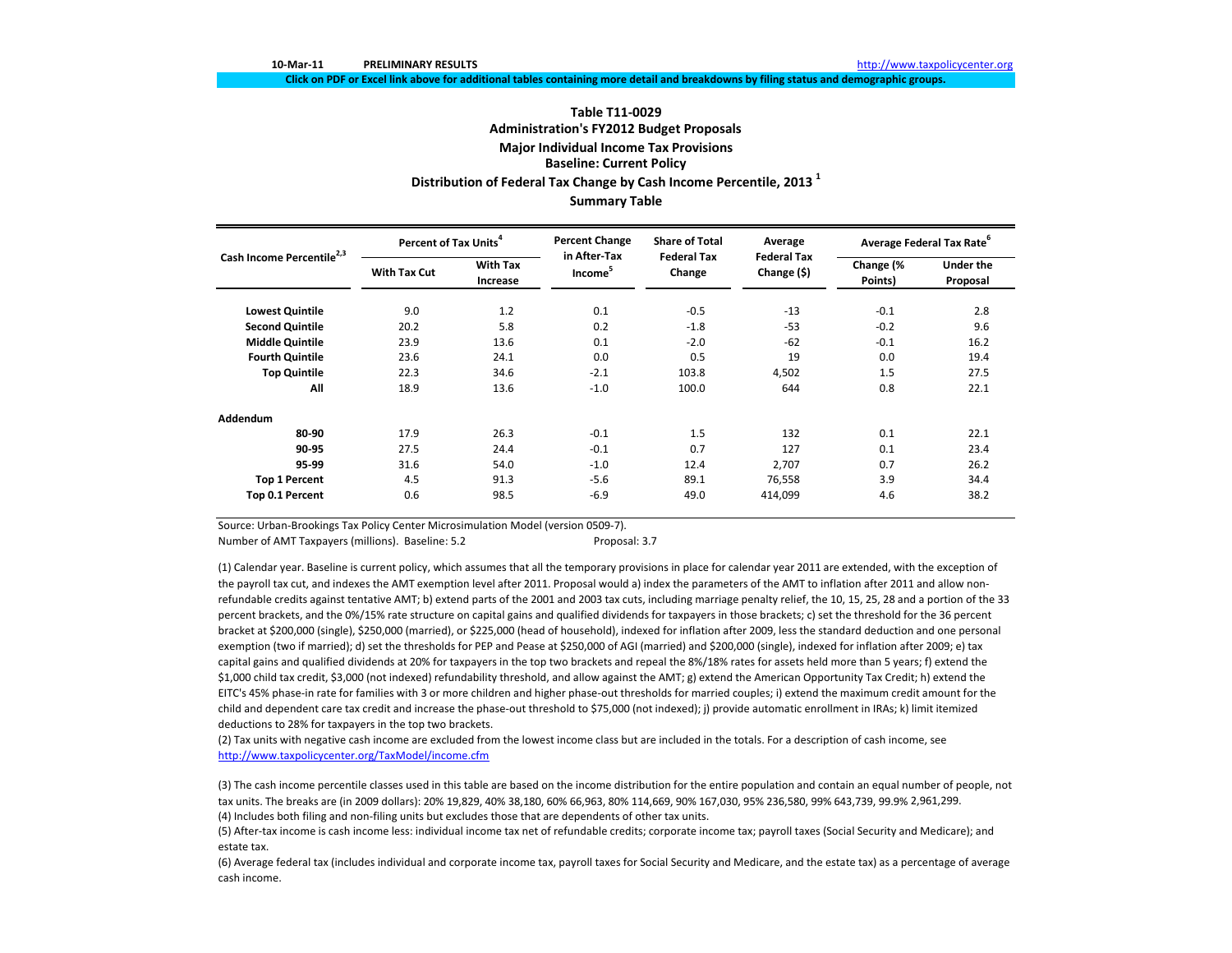Click on PDF or Excel link above for additional tables containing more detail and breakdowns by filing status and demographic groups.

# **Table T11‐0029Administration's FY2012 Budget Proposals Major Individual Income Tax Provisions Baseline: Current Policy Distribution of Federal Tax Change by Cash Income Percentile, <sup>2013</sup> <sup>1</sup> Summary Table**

| Cash Income Percentile <sup>2,3</sup> | Percent of Tax Units <sup>4</sup> |                             | <b>Percent Change</b>               | <b>Share of Total</b>        | Average                           | Average Federal Tax Rate <sup>6</sup> |                              |
|---------------------------------------|-----------------------------------|-----------------------------|-------------------------------------|------------------------------|-----------------------------------|---------------------------------------|------------------------------|
|                                       | <b>With Tax Cut</b>               | <b>With Tax</b><br>Increase | in After-Tax<br>Income <sup>5</sup> | <b>Federal Tax</b><br>Change | <b>Federal Tax</b><br>Change (\$) | Change (%<br>Points)                  | <b>Under the</b><br>Proposal |
| <b>Lowest Quintile</b>                | 9.0                               | 1.2                         | 0.1                                 | $-0.5$                       | $-13$                             | $-0.1$                                | 2.8                          |
| <b>Second Quintile</b>                | 20.2                              | 5.8                         | 0.2                                 | $-1.8$                       | $-53$                             | $-0.2$                                | 9.6                          |
| <b>Middle Quintile</b>                | 23.9                              | 13.6                        | 0.1                                 | $-2.0$                       | $-62$                             | $-0.1$                                | 16.2                         |
| <b>Fourth Quintile</b>                | 23.6                              | 24.1                        | 0.0                                 | 0.5                          | 19                                | 0.0                                   | 19.4                         |
| <b>Top Quintile</b>                   | 22.3                              | 34.6                        | $-2.1$                              | 103.8                        | 4,502                             | 1.5                                   | 27.5                         |
| All                                   | 18.9                              | 13.6                        | $-1.0$                              | 100.0                        | 644                               | 0.8                                   | 22.1                         |
| Addendum                              |                                   |                             |                                     |                              |                                   |                                       |                              |
| 80-90                                 | 17.9                              | 26.3                        | $-0.1$                              | 1.5                          | 132                               | 0.1                                   | 22.1                         |
| 90-95                                 | 27.5                              | 24.4                        | $-0.1$                              | 0.7                          | 127                               | 0.1                                   | 23.4                         |
| 95-99                                 | 31.6                              | 54.0                        | $-1.0$                              | 12.4                         | 2,707                             | 0.7                                   | 26.2                         |
| <b>Top 1 Percent</b>                  | 4.5                               | 91.3                        | $-5.6$                              | 89.1                         | 76,558                            | 3.9                                   | 34.4                         |
| Top 0.1 Percent                       | 0.6                               | 98.5                        | $-6.9$                              | 49.0                         | 414,099                           | 4.6                                   | 38.2                         |

Source: Urban‐Brookings Tax Policy Center Microsimulation Model (version 0509‐7).

Number of AMT Taxpayers (millions). Baseline: 5.2 **Proposal: 3.7** Proposal: 3.7

(1) Calendar year. Baseline is current policy, which assumes that all the temporary provisions in place for calendar year 2011 are extended, with the exception of the payroll tax cut, and indexes the AMT exemption level after 2011. Proposal would a) index the parameters of the AMT to inflation after 2011 and allow non‐ refundable credits against tentative AMT; b) extend parts of the 2001 and 2003 tax cuts, including marriage penalty relief, the 10, 15, 25, 28 and <sup>a</sup> portion of the 33 percent brackets, and the 0%/15% rate structure on capital gains and qualified dividends for taxpayers in those brackets; c) set the threshold for the 36 percent bracket at \$200,000 (single), \$250,000 (married), or \$225,000 (head of household), indexed for inflation after 2009, less the standard deduction and one personal exemption (two if married); d) set the thresholds for PEP and Pease at \$250,000 of AGI (married) and \$200,000 (single), indexed for inflation after 2009; e) tax capital gains and qualified dividends at 20% for taxpayers in the top two brackets and repeal the 8%/18% rates for assets held more than 5 years; f) extend the \$1,000 child tax credit, \$3,000 (not indexed) refundability threshold, and allow against the AMT; g) extend the American Opportunity Tax Credit; h) extend the EITC's 45% phase‐in rate for families with 3 or more children and higher phase‐out thresholds for married couples; i) extend the maximum credit amount for the child and dependent care tax credit and increase the phase‐out threshold to \$75,000 (not indexed); j) provide automatic enrollment in IRAs; k) limit itemized deductions to 28% for taxpayers in the top two brackets.

(2) Tax units with negative cash income are excluded from the lowest income class but are included in the totals. For <sup>a</sup> description of cash income, see http://www.taxpolicycenter.org/TaxModel/income.cfm

(4) Includes both filing and non‐filing units but excludes those that are dependents of other tax units. (3) The cash income percentile classes used in this table are based on the income distribution for the entire population and contain an equal number of people, not tax units. The breaks are (in 2009 dollars): 20% 19,829, 40% 38,180, 60% 66,963, 80% 114,669, 90% 167,030, 95% 236,580, 99% 643,739, 99.9% 2,961,299.

(5) After‐tax income is cash income less: individual income tax net of refundable credits; corporate income tax; payroll taxes (Social Security and Medicare); and estate tax.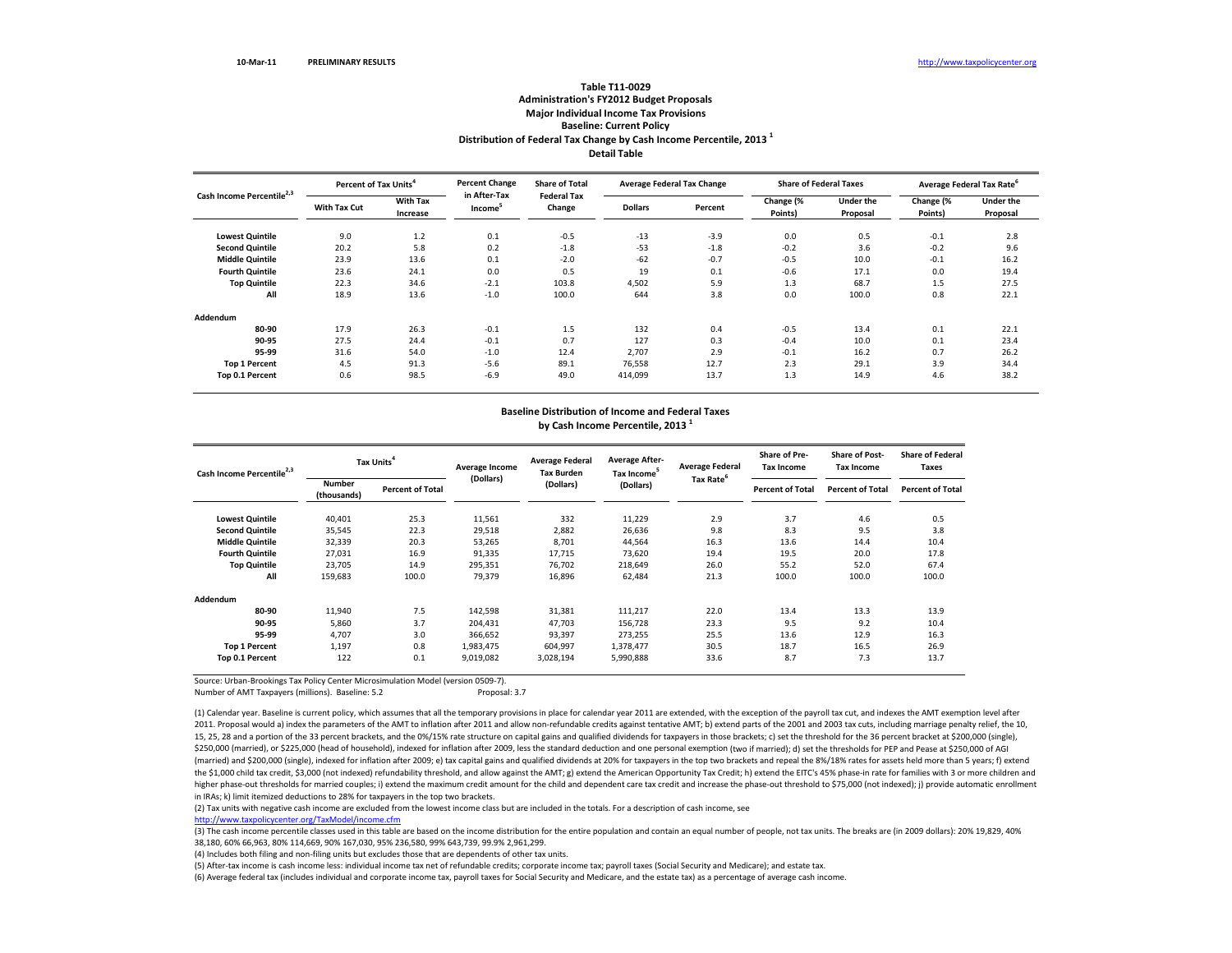### **Distribution of Federal Tax Change by Cash Income Percentile, <sup>2013</sup> <sup>1</sup> Detail TableTable T11‐0029 Administration's FY2012 Budget Proposals Major Individual Income Tax Provisions Baseline: Current Policy**

| Cash Income Percentile <sup>2,3</sup> | Percent of Tax Units <sup>4</sup> |                             | <b>Percent Change</b>               | <b>Share of Total</b>        | <b>Average Federal Tax Change</b> |         |                      | <b>Share of Federal Taxes</b> | Average Federal Tax Rate <sup>6</sup> |                       |
|---------------------------------------|-----------------------------------|-----------------------------|-------------------------------------|------------------------------|-----------------------------------|---------|----------------------|-------------------------------|---------------------------------------|-----------------------|
|                                       | With Tax Cut                      | <b>With Tax</b><br>Increase | in After-Tax<br>Income <sup>5</sup> | <b>Federal Tax</b><br>Change | <b>Dollars</b>                    | Percent | Change (%<br>Points) | <b>Under the</b><br>Proposal  | Change (%<br>Points)                  | Under the<br>Proposal |
| <b>Lowest Quintile</b>                | 9.0                               | 1.2                         | 0.1                                 | $-0.5$                       | $-13$                             | $-3.9$  | 0.0                  | 0.5                           | $-0.1$                                | 2.8                   |
| <b>Second Quintile</b>                | 20.2                              | 5.8                         | 0.2                                 | $-1.8$                       | $-53$                             | $-1.8$  | $-0.2$               | 3.6                           | $-0.2$                                | 9.6                   |
| <b>Middle Quintile</b>                | 23.9                              | 13.6                        | 0.1                                 | $-2.0$                       | $-62$                             | $-0.7$  | $-0.5$               | 10.0                          | $-0.1$                                | 16.2                  |
| <b>Fourth Quintile</b>                | 23.6                              | 24.1                        | 0.0                                 | 0.5                          | 19                                | 0.1     | $-0.6$               | 17.1                          | 0.0                                   | 19.4                  |
| <b>Top Quintile</b>                   | 22.3                              | 34.6                        | $-2.1$                              | 103.8                        | 4,502                             | 5.9     | 1.3                  | 68.7                          | 1.5                                   | 27.5                  |
| All                                   | 18.9                              | 13.6                        | $-1.0$                              | 100.0                        | 644                               | 3.8     | 0.0                  | 100.0                         | 0.8                                   | 22.1                  |
| Addendum                              |                                   |                             |                                     |                              |                                   |         |                      |                               |                                       |                       |
| 80-90                                 | 17.9                              | 26.3                        | $-0.1$                              | 1.5                          | 132                               | 0.4     | $-0.5$               | 13.4                          | 0.1                                   | 22.1                  |
| 90-95                                 | 27.5                              | 24.4                        | $-0.1$                              | 0.7                          | 127                               | 0.3     | $-0.4$               | 10.0                          | 0.1                                   | 23.4                  |
| 95-99                                 | 31.6                              | 54.0                        | $-1.0$                              | 12.4                         | 2,707                             | 2.9     | $-0.1$               | 16.2                          | 0.7                                   | 26.2                  |
| <b>Top 1 Percent</b>                  | 4.5                               | 91.3                        | $-5.6$                              | 89.1                         | 76,558                            | 12.7    | 2.3                  | 29.1                          | 3.9                                   | 34.4                  |
| Top 0.1 Percent                       | 0.6                               | 98.5                        | $-6.9$                              | 49.0                         | 414,099                           | 13.7    | 1.3                  | 14.9                          | 4.6                                   | 38.2                  |

#### **Baseline Distribution of Income and Federal Taxes by Cash Income Percentile, <sup>2013</sup> <sup>1</sup>**

| Cash Income Percentile <sup>2,3</sup> |                              | Tax Units <sup>4</sup>  |           | <b>Average Federal</b><br><b>Tax Burden</b> | <b>Average After-</b><br>Tax Income <sup>5</sup> | <b>Average Federal</b><br>Tax Rate <sup>6</sup> | <b>Share of Pre-</b><br><b>Tax Income</b> | <b>Share of Post-</b><br><b>Tax Income</b> | <b>Share of Federal</b><br>Taxes |
|---------------------------------------|------------------------------|-------------------------|-----------|---------------------------------------------|--------------------------------------------------|-------------------------------------------------|-------------------------------------------|--------------------------------------------|----------------------------------|
|                                       | <b>Number</b><br>(thousands) | <b>Percent of Total</b> | (Dollars) | (Dollars)                                   | (Dollars)                                        |                                                 | <b>Percent of Total</b>                   | <b>Percent of Total</b>                    | <b>Percent of Total</b>          |
| <b>Lowest Quintile</b>                | 40,401                       | 25.3                    | 11,561    | 332                                         | 11,229                                           | 2.9                                             | 3.7                                       | 4.6                                        | 0.5                              |
| <b>Second Quintile</b>                | 35,545                       | 22.3                    | 29,518    | 2,882                                       | 26,636                                           | 9.8                                             | 8.3                                       | 9.5                                        | 3.8                              |
| <b>Middle Quintile</b>                | 32,339                       | 20.3                    | 53,265    | 8,701                                       | 44,564                                           | 16.3                                            | 13.6                                      | 14.4                                       | 10.4                             |
| <b>Fourth Quintile</b>                | 27,031                       | 16.9                    | 91,335    | 17,715                                      | 73,620                                           | 19.4                                            | 19.5                                      | 20.0                                       | 17.8                             |
| <b>Top Quintile</b>                   | 23,705                       | 14.9                    | 295,351   | 76,702                                      | 218,649                                          | 26.0                                            | 55.2                                      | 52.0                                       | 67.4                             |
| All                                   | 159,683                      | 100.0                   | 79,379    | 16,896                                      | 62,484                                           | 21.3                                            | 100.0                                     | 100.0                                      | 100.0                            |
| Addendum                              |                              |                         |           |                                             |                                                  |                                                 |                                           |                                            |                                  |
| 80-90                                 | 11,940                       | 7.5                     | 142,598   | 31,381                                      | 111,217                                          | 22.0                                            | 13.4                                      | 13.3                                       | 13.9                             |
| 90-95                                 | 5,860                        | 3.7                     | 204,431   | 47,703                                      | 156,728                                          | 23.3                                            | 9.5                                       | 9.2                                        | 10.4                             |
| 95-99                                 | 4,707                        | 3.0                     | 366,652   | 93,397                                      | 273,255                                          | 25.5                                            | 13.6                                      | 12.9                                       | 16.3                             |
| <b>Top 1 Percent</b>                  | 1,197                        | 0.8                     | 1,983,475 | 604,997                                     | 1,378,477                                        | 30.5                                            | 18.7                                      | 16.5                                       | 26.9                             |
| Top 0.1 Percent                       | 122                          | 0.1                     | 9,019,082 | 3,028,194                                   | 5,990,888                                        | 33.6                                            | 8.7                                       | 7.3                                        | 13.7                             |

Source: Urban‐Brookings Tax Policy Center Microsimulation Model (version 0509‐7).

Number of AMT Taxpayers (millions). Baseline: 5.2 Proposal: 3.7

(1) Calendar year. Baseline is current policy, which assumes that all the temporary provisions in place for calendar year 2011 are extended, with the exception of the payroll tax cut, and indexes the AMT exemption level af 2011. Proposal would a) index the parameters of the AMT to inflation after 2011 and allow non-refundable credits against tentative AMT; b) extend parts of the 2001 and 2003 tax cuts, including marriage penalty relief, the 15, 25, 28 and a portion of the 33 percent brackets, and the 0%/15% rate structure on capital gains and qualified dividends for taxpayers in those brackets; c) set the threshold for the 36 percent bracket at \$200,000 (sing \$250,000 (married), or \$225,000 (head of household), indexed for inflation after 2009, less the standard deduction and one personal exemption (two if married); d) set the thresholds for PEP and Pease at \$250,000 of AGI (married) and \$200,000 (single), indexed for inflation after 2009; e) tax capital gains and qualified dividends at 20% for taxpayers in the top two brackets and repeal the 8%/18% rates for assets held more than 5 years; f) the \$1,000 child tax credit, \$3,000 (not indexed) refundability threshold, and allow against the AMT; g) extend the American Opportunity Tax Credit; h) extend the EITC's 45% phase-in rate for families with 3 or more childr higher phase-out thresholds for married couples; i) extend the maximum credit amount for the child and dependent care tax credit and increase the phase-out threshold to \$75,000 (not indexed); j) provide automatic enrollmen in IRAs; k) limit itemized deductions to 28% for taxpayers in the top two brackets.

(2) Tax units with negative cash income are excluded from the lowest income class but are included in the totals. For <sup>a</sup> description of cash income, see

http://www.taxpolicycenter.org/TaxModel/income.cfm

(3) The cash income percentile classes used in this table are based on the income distribution for the entire population and contain an equal number of people, not tax units. The breaks are (in 2009 dollars): 20% 19,829, 40% 38,180, 60% 66,963, 80% 114,669, 90% 167,030, 95% 236,580, 99% 643,739, 99.9% 2,961,299.

(4) Includes both filing and non‐filing units but excludes those that are dependents of other tax units.

(5) After‐tax income is cash income less: individual income tax net of refundable credits; corporate income tax; payroll taxes (Social Security and Medicare); and estate tax.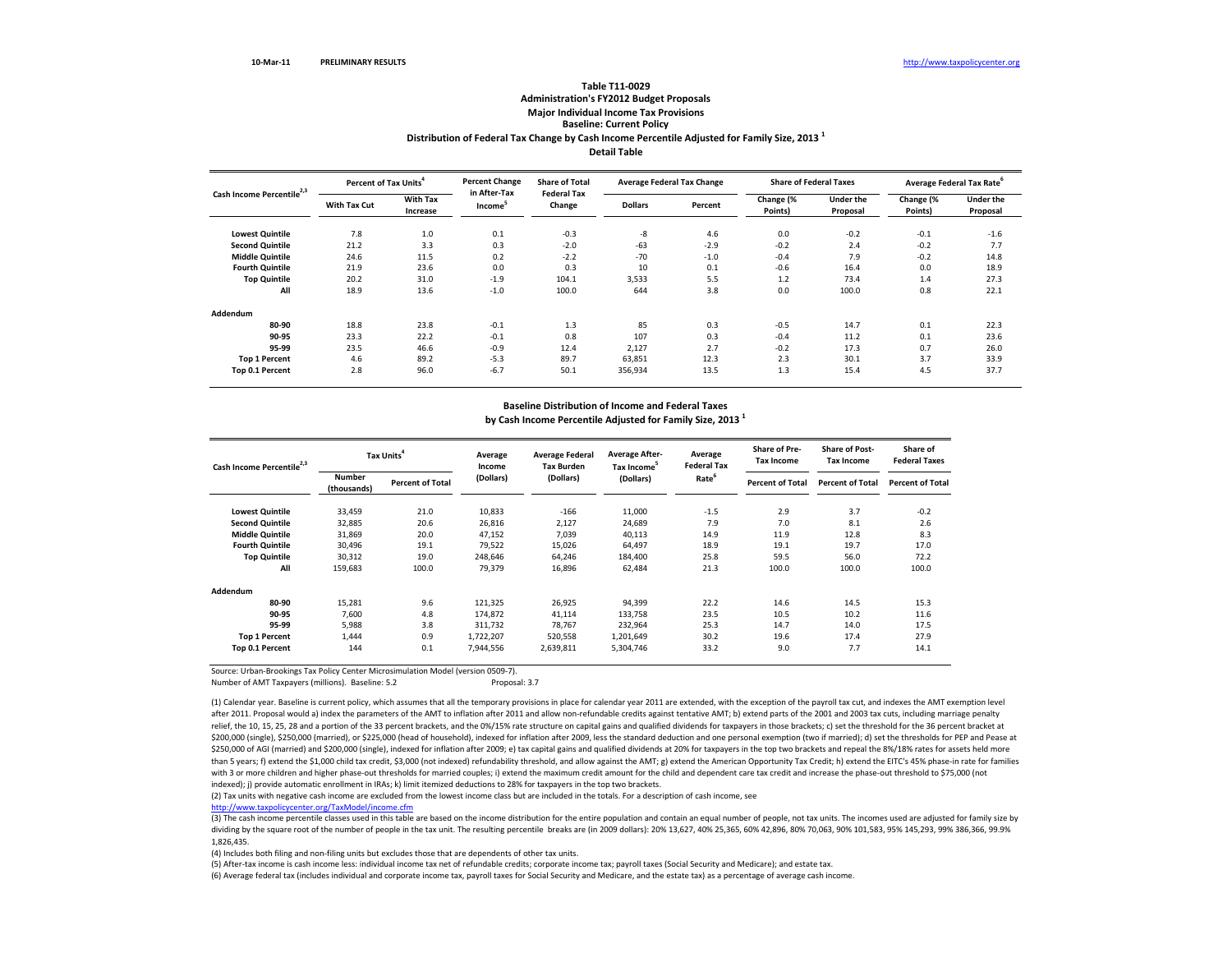## **Distribution of Federal Tax Change by Cash Income Percentile Adjusted for Family Size, <sup>2013</sup> <sup>1</sup> Detail TableTable T11‐0029Administration's FY2012 Budget Proposals Major Individual Income Tax Provisions Baseline: Current Policy**

| Cash Income Percentile <sup>2,3</sup> | Percent of Tax Units <sup>4</sup> |                             | <b>Percent Change</b>               | <b>Share of Total</b>        | Average Federal Tax Change |         |                      | <b>Share of Federal Taxes</b> | Average Federal Tax Rate <sup>6</sup> |                              |  |
|---------------------------------------|-----------------------------------|-----------------------------|-------------------------------------|------------------------------|----------------------------|---------|----------------------|-------------------------------|---------------------------------------|------------------------------|--|
|                                       | With Tax Cut                      | <b>With Tax</b><br>Increase | in After-Tax<br>Income <sup>5</sup> | <b>Federal Tax</b><br>Change | <b>Dollars</b>             | Percent | Change (%<br>Points) | Under the<br>Proposal         | Change (%<br>Points)                  | <b>Under the</b><br>Proposal |  |
| <b>Lowest Quintile</b>                | 7.8                               | 1.0                         | 0.1                                 | $-0.3$                       | $-8$                       | 4.6     | 0.0                  | $-0.2$                        | $-0.1$                                | $-1.6$                       |  |
| <b>Second Quintile</b>                | 21.2                              | 3.3                         | 0.3                                 | $-2.0$                       | $-63$                      | $-2.9$  | $-0.2$               | 2.4                           | $-0.2$                                | 7.7                          |  |
| <b>Middle Quintile</b>                | 24.6                              | 11.5                        | 0.2                                 | $-2.2$                       | $-70$                      | $-1.0$  | $-0.4$               | 7.9                           | $-0.2$                                | 14.8                         |  |
| <b>Fourth Quintile</b>                | 21.9                              | 23.6                        | 0.0                                 | 0.3                          | 10                         | 0.1     | $-0.6$               | 16.4                          | 0.0                                   | 18.9                         |  |
| <b>Top Quintile</b>                   | 20.2                              | 31.0                        | $-1.9$                              | 104.1                        | 3,533                      | 5.5     | 1.2                  | 73.4                          | 1.4                                   | 27.3                         |  |
| All                                   | 18.9                              | 13.6                        | $-1.0$                              | 100.0                        | 644                        | 3.8     | 0.0                  | 100.0                         | 0.8                                   | 22.1                         |  |
| Addendum                              |                                   |                             |                                     |                              |                            |         |                      |                               |                                       |                              |  |
| 80-90                                 | 18.8                              | 23.8                        | $-0.1$                              | 1.3                          | 85                         | 0.3     | $-0.5$               | 14.7                          | 0.1                                   | 22.3                         |  |
| 90-95                                 | 23.3                              | 22.2                        | $-0.1$                              | 0.8                          | 107                        | 0.3     | $-0.4$               | 11.2                          | 0.1                                   | 23.6                         |  |
| 95-99                                 | 23.5                              | 46.6                        | $-0.9$                              | 12.4                         | 2,127                      | 2.7     | $-0.2$               | 17.3                          | 0.7                                   | 26.0                         |  |
| <b>Top 1 Percent</b>                  | 4.6                               | 89.2                        | $-5.3$                              | 89.7                         | 63,851                     | 12.3    | 2.3                  | 30.1                          | 3.7                                   | 33.9                         |  |
| Top 0.1 Percent                       | 2.8                               | 96.0                        | $-6.7$                              | 50.1                         | 356,934                    | 13.5    | 1.3                  | 15.4                          | 4.5                                   | 37.7                         |  |

### **Baseline Distribution of Income and Federal Taxes by Cash Income Percentile Adjusted for Family Size, <sup>2013</sup> <sup>1</sup>**

| Cash Income Percentile <sup>2,3</sup> |                              | Tax Units <sup>4</sup>  |           | <b>Average Federal</b><br><b>Tax Burden</b> | <b>Average After-</b><br>Tax Income <sup>5</sup> | Average<br><b>Federal Tax</b> | <b>Share of Pre-</b><br><b>Tax Income</b> | <b>Share of Post-</b><br><b>Tax Income</b> | Share of<br><b>Federal Taxes</b> |
|---------------------------------------|------------------------------|-------------------------|-----------|---------------------------------------------|--------------------------------------------------|-------------------------------|-------------------------------------------|--------------------------------------------|----------------------------------|
|                                       | <b>Number</b><br>(thousands) | <b>Percent of Total</b> | (Dollars) | (Dollars)                                   | (Dollars)                                        | Rate <sup>6</sup>             | <b>Percent of Total</b>                   | <b>Percent of Total</b>                    | <b>Percent of Total</b>          |
| <b>Lowest Quintile</b>                | 33,459                       | 21.0                    | 10,833    | $-166$                                      | 11,000                                           | $-1.5$                        | 2.9                                       | 3.7                                        | $-0.2$                           |
| <b>Second Quintile</b>                | 32,885                       | 20.6                    | 26,816    | 2,127                                       | 24,689                                           | 7.9                           | 7.0                                       | 8.1                                        | 2.6                              |
| <b>Middle Quintile</b>                | 31,869                       | 20.0                    | 47,152    | 7,039                                       | 40,113                                           | 14.9                          | 11.9                                      | 12.8                                       | 8.3                              |
| <b>Fourth Quintile</b>                | 30,496                       | 19.1                    | 79,522    | 15,026                                      | 64,497                                           | 18.9                          | 19.1                                      | 19.7                                       | 17.0                             |
| <b>Top Quintile</b>                   | 30,312                       | 19.0                    | 248,646   | 64,246                                      | 184,400                                          | 25.8                          | 59.5                                      | 56.0                                       | 72.2                             |
| All                                   | 159,683                      | 100.0                   | 79,379    | 16,896                                      | 62,484                                           | 21.3                          | 100.0                                     | 100.0                                      | 100.0                            |
| Addendum                              |                              |                         |           |                                             |                                                  |                               |                                           |                                            |                                  |
| 80-90                                 | 15,281                       | 9.6                     | 121,325   | 26,925                                      | 94,399                                           | 22.2                          | 14.6                                      | 14.5                                       | 15.3                             |
| 90-95                                 | 7,600                        | 4.8                     | 174,872   | 41,114                                      | 133,758                                          | 23.5                          | 10.5                                      | 10.2                                       | 11.6                             |
| 95-99                                 | 5,988                        | 3.8                     | 311,732   | 78,767                                      | 232,964                                          | 25.3                          | 14.7                                      | 14.0                                       | 17.5                             |
| <b>Top 1 Percent</b>                  | 1.444                        | 0.9                     | 1,722,207 | 520,558                                     | 1,201,649                                        | 30.2                          | 19.6                                      | 17.4                                       | 27.9                             |
| Top 0.1 Percent                       | 144                          | 0.1                     | 7,944,556 | 2,639,811                                   | 5,304,746                                        | 33.2                          | 9.0                                       | 7.7                                        | 14.1                             |

Source: Urban‐Brookings Tax Policy Center Microsimulation Model (version 0509‐7).

Number of AMT Taxpayers (millions). Baseline: 5.2 **Proposal: 3.7** Proposal: 3.7

(1) Calendar year. Baseline is current policy, which assumes that all the temporary provisions in place for calendar year 2011 are extended, with the exception of the payroll tax cut, and indexes the AMT exemption level after 2011. Proposal would a) index the parameters of the AMT to inflation after 2011 and allow non‐refundable credits against tentative AMT; b) extend parts of the 2001 and 2003 tax cuts, including marriage penalty relief, the 10, 15, 25, 28 and a portion of the 33 percent brackets, and the 0%/15% rate structure on capital gains and qualified dividends for taxpayers in those brackets; c) set the threshold for the 36 percent bracket a \$200,000 (single), \$250,000 (married), or \$225,000 (head of household), indexed for inflation after 2009, less the standard deduction and one personal exemption (two if married); d) set the thresholds for PEP and Pease at \$250,000 of AGI (married) and \$200,000 (single), indexed for inflation after 2009; e) tax capital gains and qualified dividends at 20% for taxpayers in the top two brackets and repeal the 8%/18% rates for assets held more than 5 years; f) extend the \$1,000 child tax credit, \$3,000 (not indexed) refundability threshold, and allow against the AMT; g) extend the American Opportunity Tax Credit; h) extend the EITC's 45% phase-in rate for famili with 3 or more children and higher phase‐out thresholds for married couples; i) extend the maximum credit amount for the child and dependent care tax credit and increase the phase‐out threshold to \$75,000 (not indexed); i) provide automatic enrollment in IRAs; k) limit itemized deductions to 28% for taxpayers in the top two brackets.

(2) Tax units with negative cash income are excluded from the lowest income class but are included in the totals. For <sup>a</sup> description of cash income, see

http://www.taxpolicycenter.org/TaxModel/income.cfm

(3) The cash income percentile classes used in this table are based on the income distribution for the entire population and contain an equal number of people, not tax units. The incomes used are adjusted for family size b dividing by the square root of the number of people in the tax unit. The resulting percentile breaks are (in 2009 dollars): 20% 13,627, 40% 25,365, 60% 42,896, 80% 70,063, 90% 101,583, 95% 145,293, 99% 386,366, 99.9% 1,826,435.

(4) Includes both filing and non‐filing units but excludes those that are dependents of other tax units.

(5) After‐tax income is cash income less: individual income tax net of refundable credits; corporate income tax; payroll taxes (Social Security and Medicare); and estate tax.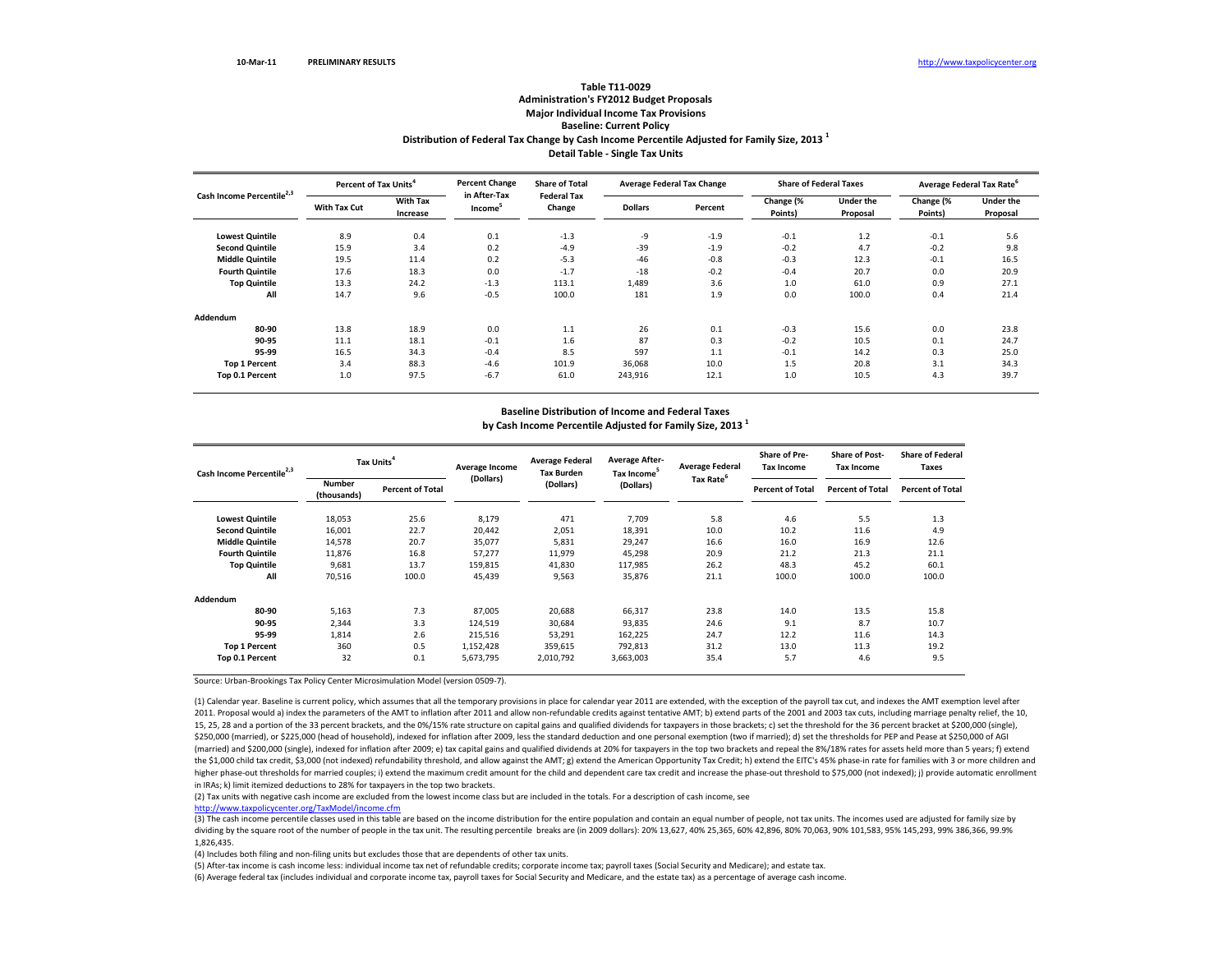## **Distribution of Federal Tax Change by Cash Income Percentile Adjusted for Family Size, <sup>2013</sup> <sup>1</sup> Detail Table ‐ Single Tax Units Table T11‐0029 Administration's FY2012 Budget Proposals Major Individual Income Tax Provisions Baseline: Current Policy**

| Cash Income Percentile <sup>2,3</sup> | Percent of Tax Units <sup>4</sup> |                             | <b>Percent Change</b>               | <b>Share of Total</b>        | <b>Average Federal Tax Change</b> |         | <b>Share of Federal Taxes</b> |                              | Average Federal Tax Rate <sup>6</sup> |                       |
|---------------------------------------|-----------------------------------|-----------------------------|-------------------------------------|------------------------------|-----------------------------------|---------|-------------------------------|------------------------------|---------------------------------------|-----------------------|
|                                       | With Tax Cut                      | <b>With Tax</b><br>Increase | in After-Tax<br>Income <sup>5</sup> | <b>Federal Tax</b><br>Change | <b>Dollars</b>                    | Percent | Change (%<br>Points)          | <b>Under the</b><br>Proposal | Change (%<br>Points)                  | Under the<br>Proposal |
| <b>Lowest Quintile</b>                | 8.9                               | 0.4                         | 0.1                                 | $-1.3$                       | -9                                | $-1.9$  | $-0.1$                        | 1.2                          | $-0.1$                                | 5.6                   |
| <b>Second Quintile</b>                | 15.9                              | 3.4                         | 0.2                                 | $-4.9$                       | $-39$                             | $-1.9$  | $-0.2$                        | 4.7                          | $-0.2$                                | 9.8                   |
| <b>Middle Quintile</b>                | 19.5                              | 11.4                        | 0.2                                 | $-5.3$                       | $-46$                             | $-0.8$  | $-0.3$                        | 12.3                         | $-0.1$                                | 16.5                  |
| <b>Fourth Quintile</b>                | 17.6                              | 18.3                        | 0.0                                 | $-1.7$                       | $-18$                             | $-0.2$  | $-0.4$                        | 20.7                         | 0.0                                   | 20.9                  |
| <b>Top Quintile</b>                   | 13.3                              | 24.2                        | $-1.3$                              | 113.1                        | 1,489                             | 3.6     | 1.0                           | 61.0                         | 0.9                                   | 27.1                  |
| All                                   | 14.7                              | 9.6                         | $-0.5$                              | 100.0                        | 181                               | 1.9     | 0.0                           | 100.0                        | 0.4                                   | 21.4                  |
| Addendum                              |                                   |                             |                                     |                              |                                   |         |                               |                              |                                       |                       |
| 80-90                                 | 13.8                              | 18.9                        | 0.0                                 | 1.1                          | 26                                | 0.1     | $-0.3$                        | 15.6                         | 0.0                                   | 23.8                  |
| 90-95                                 | 11.1                              | 18.1                        | $-0.1$                              | 1.6                          | 87                                | 0.3     | $-0.2$                        | 10.5                         | 0.1                                   | 24.7                  |
| 95-99                                 | 16.5                              | 34.3                        | $-0.4$                              | 8.5                          | 597                               | 1.1     | $-0.1$                        | 14.2                         | 0.3                                   | 25.0                  |
| <b>Top 1 Percent</b>                  | 3.4                               | 88.3                        | $-4.6$                              | 101.9                        | 36,068                            | 10.0    | 1.5                           | 20.8                         | 3.1                                   | 34.3                  |
| Top 0.1 Percent                       | 1.0                               | 97.5                        | $-6.7$                              | 61.0                         | 243,916                           | 12.1    | 1.0                           | 10.5                         | 4.3                                   | 39.7                  |

# **Baseline Distribution of Income and Federal Taxes**

**by Cash Income Percentile Adjusted for Family Size, <sup>2013</sup> <sup>1</sup>**

| Cash Income Percentile <sup>2,3</sup> | Tax Units <sup>4</sup>       |                         | Average Income | <b>Average Federal</b><br><b>Tax Burden</b> | <b>Average After-</b><br>Tax Income <sup>5</sup> | <b>Average Federal</b> | Share of Pre-<br><b>Tax Income</b> | <b>Share of Post-</b><br><b>Tax Income</b> | <b>Share of Federal</b><br>Taxes |
|---------------------------------------|------------------------------|-------------------------|----------------|---------------------------------------------|--------------------------------------------------|------------------------|------------------------------------|--------------------------------------------|----------------------------------|
|                                       | <b>Number</b><br>(thousands) | <b>Percent of Total</b> | (Dollars)      | (Dollars)                                   | (Dollars)                                        | Tax Rate <sup>6</sup>  | <b>Percent of Total</b>            | <b>Percent of Total</b>                    | <b>Percent of Total</b>          |
| <b>Lowest Quintile</b>                | 18,053                       | 25.6                    | 8,179          | 471                                         | 7,709                                            | 5.8                    | 4.6                                | 5.5                                        | 1.3                              |
| <b>Second Quintile</b>                | 16,001                       | 22.7                    | 20,442         | 2,051                                       | 18,391                                           | 10.0                   | 10.2                               | 11.6                                       | 4.9                              |
| <b>Middle Quintile</b>                | 14,578                       | 20.7                    | 35,077         | 5,831                                       | 29,247                                           | 16.6                   | 16.0                               | 16.9                                       | 12.6                             |
| <b>Fourth Quintile</b>                | 11,876                       | 16.8                    | 57,277         | 11,979                                      | 45,298                                           | 20.9                   | 21.2                               | 21.3                                       | 21.1                             |
| <b>Top Quintile</b>                   | 9,681                        | 13.7                    | 159,815        | 41,830                                      | 117,985                                          | 26.2                   | 48.3                               | 45.2                                       | 60.1                             |
| All                                   | 70,516                       | 100.0                   | 45,439         | 9,563                                       | 35,876                                           | 21.1                   | 100.0                              | 100.0                                      | 100.0                            |
| Addendum                              |                              |                         |                |                                             |                                                  |                        |                                    |                                            |                                  |
| 80-90                                 | 5,163                        | 7.3                     | 87,005         | 20.688                                      | 66,317                                           | 23.8                   | 14.0                               | 13.5                                       | 15.8                             |
| 90-95                                 | 2,344                        | 3.3                     | 124,519        | 30,684                                      | 93,835                                           | 24.6                   | 9.1                                | 8.7                                        | 10.7                             |
| 95-99                                 | 1,814                        | 2.6                     | 215,516        | 53,291                                      | 162,225                                          | 24.7                   | 12.2                               | 11.6                                       | 14.3                             |
| <b>Top 1 Percent</b>                  | 360                          | 0.5                     | 1,152,428      | 359,615                                     | 792,813                                          | 31.2                   | 13.0                               | 11.3                                       | 19.2                             |
| Top 0.1 Percent                       | 32                           | 0.1                     | 5,673,795      | 2,010,792                                   | 3,663,003                                        | 35.4                   | 5.7                                | 4.6                                        | 9.5                              |

Source: Urban‐Brookings Tax Policy Center Microsimulation Model (version 0509‐7).

(1) Calendar year. Baseline is current policy, which assumes that all the temporary provisions in place for calendar year 2011 are extended, with the exception of the payroll tax cut, and indexes the AMT exemption level af 2011. Proposal would a) index the parameters of the AMT to inflation after 2011 and allow non-refundable credits against tentative AMT; b) extend parts of the 2001 and 2003 tax cuts, including marriage penalty relief, the 15, 25, 28 and a portion of the 33 percent brackets, and the 0%/15% rate structure on capital gains and qualified dividends for taxpayers in those brackets; c) set the threshold for the 36 percent bracket at \$200,000 (sing \$250,000 (married), or \$225,000 (head of household), indexed for inflation after 2009, less the standard deduction and one personal exemption (two if married); d) set the thresholds for PEP and Pease at \$250,000 of AGI (married) and \$200,000 (single), indexed for inflation after 2009; e) tax capital gains and qualified dividends at 20% for taxpayers in the top two brackets and repeal the 8%/18% rates for assets held more than 5 years; f) the \$1,000 child tax credit, \$3,000 (not indexed) refundability threshold, and allow against the AMT; g) extend the American Opportunity Tax Credit; h) extend the EITC's 45% phase-in rate for families with 3 or more childr higher phase-out thresholds for married couples; i) extend the maximum credit amount for the child and dependent care tax credit and increase the phase-out threshold to \$75,000 (not indexed); j) provide automatic enrollmen in IRAs; k) limit itemized deductions to 28% for taxpayers in the top two brackets.

(2) Tax units with negative cash income are excluded from the lowest income class but are included in the totals. For <sup>a</sup> description of cash income, see

http://www.taxpolicycenter.org/TaxModel/income.cfm

(3) The cash income percentile classes used in this table are based on the income distribution for the entire population and contain an equal number of people, not tax units. The incomes used are adjusted for family size b dividing by the square root of the number of people in the tax unit. The resulting percentile breaks are (in 2009 dollars): 20% 13,627, 40% 25,365, 60% 42,896, 80% 70,063, 90% 101,583, 95% 145,293, 99% 386,366, 99.9% 1,826,435.

(4) Includes both filing and non‐filing units but excludes those that are dependents of other tax units.

(5) After‐tax income is cash income less: individual income tax net of refundable credits; corporate income tax; payroll taxes (Social Security and Medicare); and estate tax.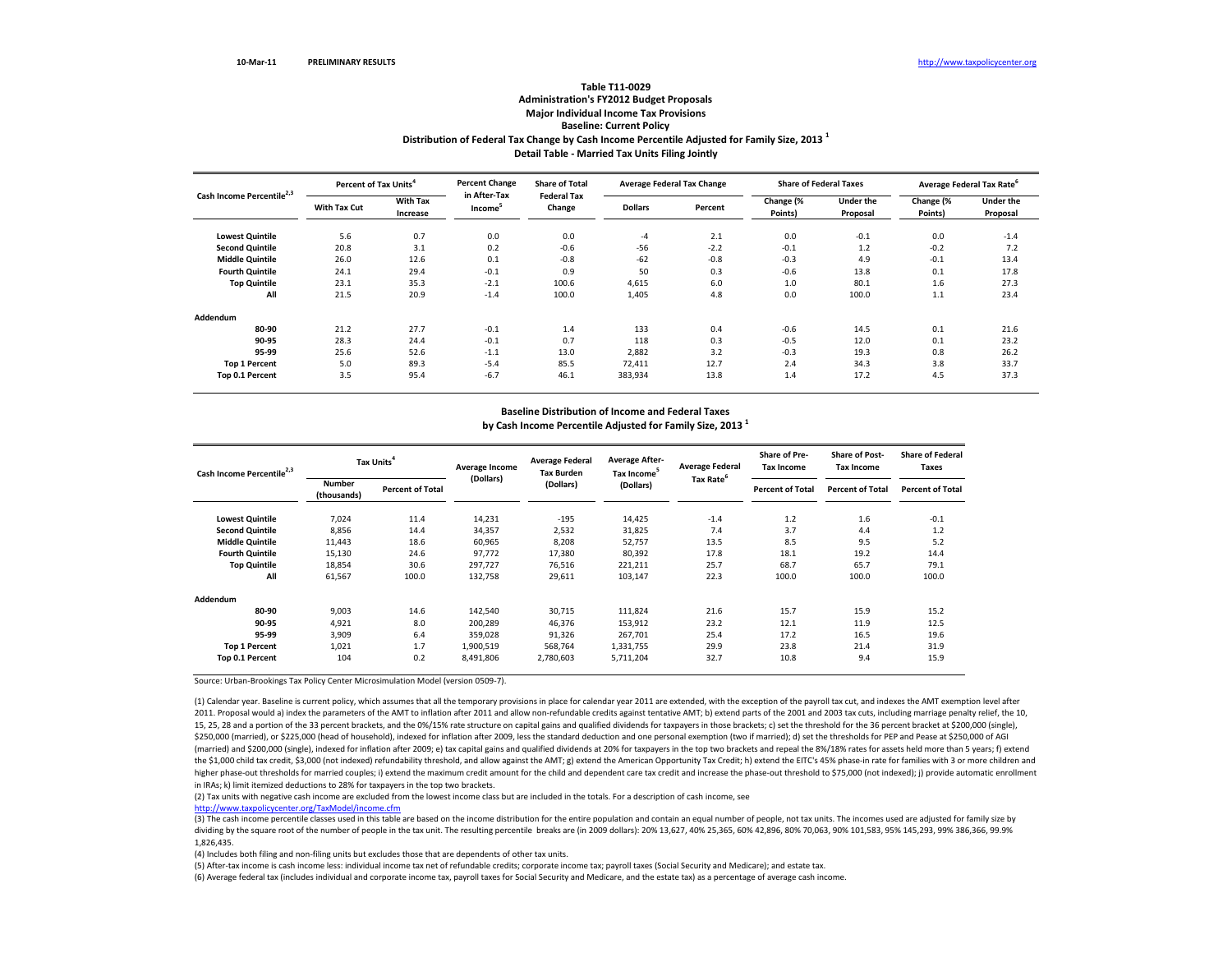## **Distribution of Federal Tax Change by Cash Income Percentile Adjusted for Family Size, <sup>2013</sup> <sup>1</sup> Detail Table ‐ Married Tax Units Filing Jointly Table T11‐0029 Administration's FY2012 Budget Proposals Major Individual Income Tax Provisions Baseline: Current Policy**

| Cash Income Percentile <sup>2,3</sup> | Percent of Tax Units <sup>4</sup> |                             | <b>Percent Change</b>               | <b>Share of Total</b>        | <b>Average Federal Tax Change</b> |         | <b>Share of Federal Taxes</b> |                              | Average Federal Tax Rate <sup>6</sup> |                       |
|---------------------------------------|-----------------------------------|-----------------------------|-------------------------------------|------------------------------|-----------------------------------|---------|-------------------------------|------------------------------|---------------------------------------|-----------------------|
|                                       | With Tax Cut                      | <b>With Tax</b><br>Increase | in After-Tax<br>Income <sup>5</sup> | <b>Federal Tax</b><br>Change | <b>Dollars</b>                    | Percent | Change (%<br>Points)          | <b>Under the</b><br>Proposal | Change (%<br>Points)                  | Under the<br>Proposal |
| <b>Lowest Quintile</b>                | 5.6                               | 0.7                         | 0.0                                 | 0.0                          | $-4$                              | 2.1     | 0.0                           | $-0.1$                       | 0.0                                   | $-1.4$                |
| <b>Second Quintile</b>                | 20.8                              | 3.1                         | 0.2                                 | $-0.6$                       | $-56$                             | $-2.2$  | $-0.1$                        | 1.2                          | $-0.2$                                | 7.2                   |
| <b>Middle Quintile</b>                | 26.0                              | 12.6                        | 0.1                                 | $-0.8$                       | $-62$                             | $-0.8$  | $-0.3$                        | 4.9                          | $-0.1$                                | 13.4                  |
| <b>Fourth Quintile</b>                | 24.1                              | 29.4                        | $-0.1$                              | 0.9                          | 50                                | 0.3     | $-0.6$                        | 13.8                         | 0.1                                   | 17.8                  |
| <b>Top Quintile</b>                   | 23.1                              | 35.3                        | $-2.1$                              | 100.6                        | 4,615                             | 6.0     | 1.0                           | 80.1                         | 1.6                                   | 27.3                  |
| All                                   | 21.5                              | 20.9                        | $-1.4$                              | 100.0                        | 1,405                             | 4.8     | 0.0                           | 100.0                        | 1.1                                   | 23.4                  |
| Addendum                              |                                   |                             |                                     |                              |                                   |         |                               |                              |                                       |                       |
| 80-90                                 | 21.2                              | 27.7                        | $-0.1$                              | 1.4                          | 133                               | 0.4     | $-0.6$                        | 14.5                         | 0.1                                   | 21.6                  |
| 90-95                                 | 28.3                              | 24.4                        | $-0.1$                              | 0.7                          | 118                               | 0.3     | $-0.5$                        | 12.0                         | 0.1                                   | 23.2                  |
| 95-99                                 | 25.6                              | 52.6                        | $-1.1$                              | 13.0                         | 2,882                             | 3.2     | $-0.3$                        | 19.3                         | 0.8                                   | 26.2                  |
| <b>Top 1 Percent</b>                  | 5.0                               | 89.3                        | $-5.4$                              | 85.5                         | 72,411                            | 12.7    | 2.4                           | 34.3                         | 3.8                                   | 33.7                  |
| Top 0.1 Percent                       | 3.5                               | 95.4                        | $-6.7$                              | 46.1                         | 383,934                           | 13.8    | 1.4                           | 17.2                         | 4.5                                   | 37.3                  |

# **Baseline Distribution of Income and Federal Taxes**

**by Cash Income Percentile Adjusted for Family Size, <sup>2013</sup> <sup>1</sup>**

| Cash Income Percentile <sup>2,3</sup> | Tax Units                    |                         | Average Income | <b>Average Federal</b><br><b>Tax Burden</b> | <b>Average After-</b><br>Tax Income <sup>5</sup> | <b>Average Federal</b> | <b>Share of Pre-</b><br><b>Tax Income</b> | <b>Share of Post-</b><br><b>Tax Income</b> | <b>Share of Federal</b><br><b>Taxes</b> |
|---------------------------------------|------------------------------|-------------------------|----------------|---------------------------------------------|--------------------------------------------------|------------------------|-------------------------------------------|--------------------------------------------|-----------------------------------------|
|                                       | <b>Number</b><br>(thousands) | <b>Percent of Total</b> | (Dollars)      | (Dollars)                                   | (Dollars)                                        | Tax Rate <sup>6</sup>  | <b>Percent of Total</b>                   | <b>Percent of Total</b>                    | <b>Percent of Total</b>                 |
| <b>Lowest Quintile</b>                | 7.024                        | 11.4                    | 14,231         | $-195$                                      | 14,425                                           | $-1.4$                 | 1.2                                       | 1.6                                        | $-0.1$                                  |
| <b>Second Quintile</b>                | 8,856                        | 14.4                    | 34,357         | 2,532                                       | 31,825                                           | 7.4                    | 3.7                                       | 4.4                                        | 1.2                                     |
| <b>Middle Quintile</b>                | 11,443                       | 18.6                    | 60,965         | 8,208                                       | 52,757                                           | 13.5                   | 8.5                                       | 9.5                                        | 5.2                                     |
| <b>Fourth Quintile</b>                | 15,130                       | 24.6                    | 97,772         | 17,380                                      | 80,392                                           | 17.8                   | 18.1                                      | 19.2                                       | 14.4                                    |
| <b>Top Quintile</b>                   | 18,854                       | 30.6                    | 297,727        | 76,516                                      | 221,211                                          | 25.7                   | 68.7                                      | 65.7                                       | 79.1                                    |
| All                                   | 61,567                       | 100.0                   | 132,758        | 29,611                                      | 103,147                                          | 22.3                   | 100.0                                     | 100.0                                      | 100.0                                   |
| Addendum                              |                              |                         |                |                                             |                                                  |                        |                                           |                                            |                                         |
| 80-90                                 | 9,003                        | 14.6                    | 142,540        | 30,715                                      | 111,824                                          | 21.6                   | 15.7                                      | 15.9                                       | 15.2                                    |
| 90-95                                 | 4,921                        | 8.0                     | 200,289        | 46,376                                      | 153,912                                          | 23.2                   | 12.1                                      | 11.9                                       | 12.5                                    |
| 95-99                                 | 3,909                        | 6.4                     | 359,028        | 91,326                                      | 267,701                                          | 25.4                   | 17.2                                      | 16.5                                       | 19.6                                    |
| <b>Top 1 Percent</b>                  | 1,021                        | 1.7                     | 1,900,519      | 568,764                                     | 1,331,755                                        | 29.9                   | 23.8                                      | 21.4                                       | 31.9                                    |
| Top 0.1 Percent                       | 104                          | 0.2                     | 8,491,806      | 2,780,603                                   | 5,711,204                                        | 32.7                   | 10.8                                      | 9.4                                        | 15.9                                    |

Source: Urban‐Brookings Tax Policy Center Microsimulation Model (version 0509‐7).

(1) Calendar year. Baseline is current policy, which assumes that all the temporary provisions in place for calendar year 2011 are extended, with the exception of the payroll tax cut, and indexes the AMT exemption level af 2011. Proposal would a) index the parameters of the AMT to inflation after 2011 and allow non-refundable credits against tentative AMT; b) extend parts of the 2001 and 2003 tax cuts, including marriage penalty relief, the 15, 25, 28 and a portion of the 33 percent brackets, and the 0%/15% rate structure on capital gains and qualified dividends for taxpayers in those brackets; c) set the threshold for the 36 percent bracket at \$200,000 (sing \$250,000 (married), or \$225,000 (head of household), indexed for inflation after 2009, less the standard deduction and one personal exemption (two if married); d) set the thresholds for PEP and Pease at \$250,000 of AGI (married) and \$200,000 (single), indexed for inflation after 2009; e) tax capital gains and qualified dividends at 20% for taxpayers in the top two brackets and repeal the 8%/18% rates for assets held more than 5 years; f) the \$1,000 child tax credit, \$3,000 (not indexed) refundability threshold, and allow against the AMT; g) extend the American Opportunity Tax Credit; h) extend the EITC's 45% phase-in rate for families with 3 or more childr higher phase-out thresholds for married couples; i) extend the maximum credit amount for the child and dependent care tax credit and increase the phase-out threshold to \$75,000 (not indexed); j) provide automatic enrollmen in IRAs; k) limit itemized deductions to 28% for taxpayers in the top two brackets.

(2) Tax units with negative cash income are excluded from the lowest income class but are included in the totals. For <sup>a</sup> description of cash income, see

http://www.taxpolicycenter.org/TaxModel/income.cfm

(3) The cash income percentile classes used in this table are based on the income distribution for the entire population and contain an equal number of people, not tax units. The incomes used are adjusted for family size b dividing by the square root of the number of people in the tax unit. The resulting percentile breaks are (in 2009 dollars): 20% 13,627, 40% 25,365, 60% 42,896, 80% 70,063, 90% 101,583, 95% 145,293, 99% 386,366, 99.9% 1,826,435.

(4) Includes both filing and non‐filing units but excludes those that are dependents of other tax units.

(5) After‐tax income is cash income less: individual income tax net of refundable credits; corporate income tax; payroll taxes (Social Security and Medicare); and estate tax.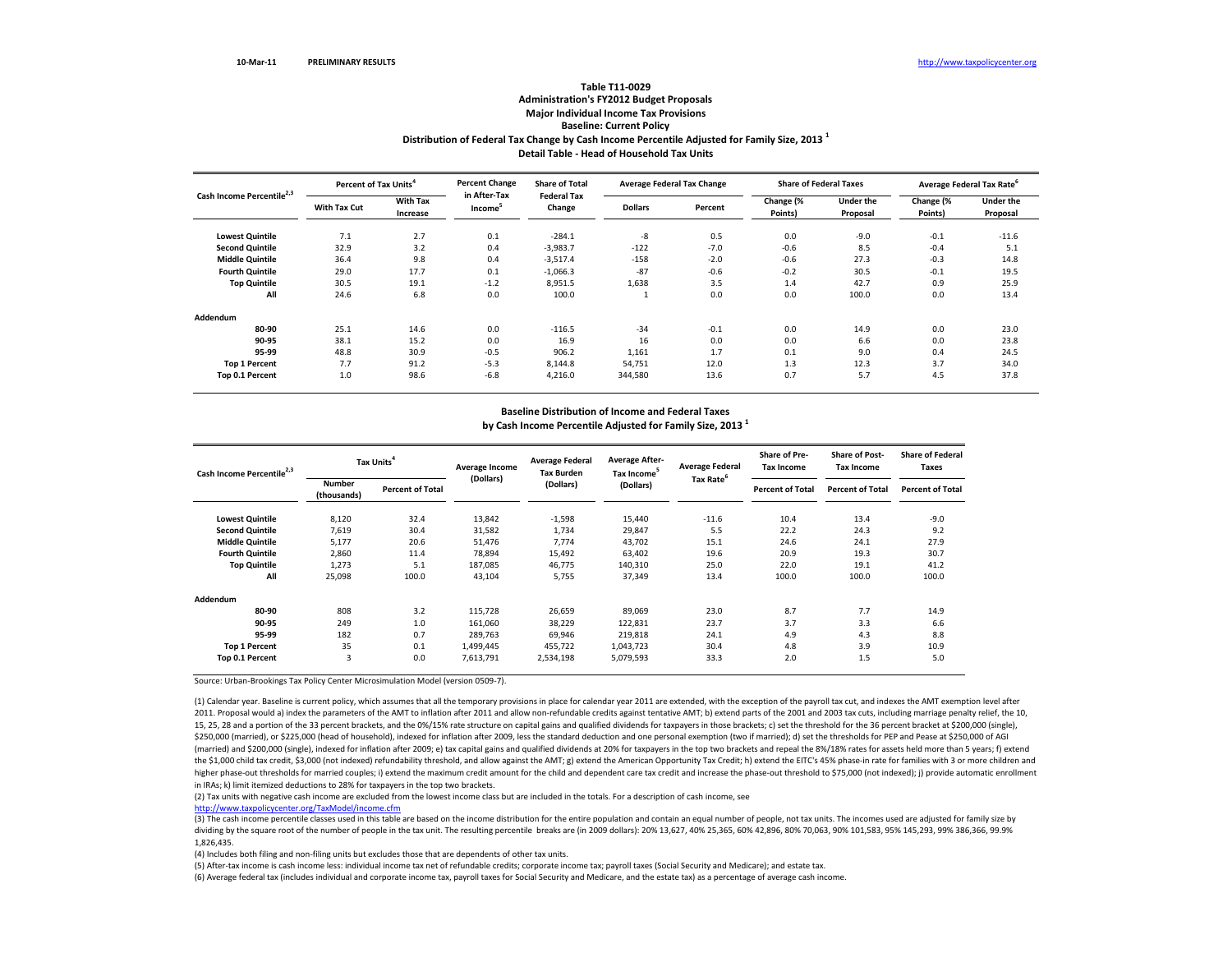## **Distribution of Federal Tax Change by Cash Income Percentile Adjusted for Family Size, <sup>2013</sup> <sup>1</sup> Detail Table ‐ Head of Household Tax Units Table T11‐0029 Administration's FY2012 Budget Proposals Major Individual Income Tax Provisions Baseline: Current Policy**

|                                       | Percent of Tax Units <sup>4</sup> |                             | <b>Percent Change</b>               | <b>Share of Total</b>        | <b>Average Federal Tax Change</b> |         | <b>Share of Federal Taxes</b> |                              | Average Federal Tax Rate <sup>6</sup> |                              |
|---------------------------------------|-----------------------------------|-----------------------------|-------------------------------------|------------------------------|-----------------------------------|---------|-------------------------------|------------------------------|---------------------------------------|------------------------------|
| Cash Income Percentile <sup>2,3</sup> | <b>With Tax Cut</b>               | <b>With Tax</b><br>Increase | in After-Tax<br>Income <sup>3</sup> | <b>Federal Tax</b><br>Change | <b>Dollars</b>                    | Percent | Change (%<br>Points)          | <b>Under the</b><br>Proposal | Change (%<br>Points)                  | <b>Under the</b><br>Proposal |
|                                       |                                   |                             |                                     |                              |                                   |         |                               |                              |                                       |                              |
| <b>Lowest Quintile</b>                | 7.1                               | 2.7                         | 0.1                                 | $-284.1$                     | -8                                | 0.5     | 0.0                           | $-9.0$                       | $-0.1$                                | $-11.6$                      |
| <b>Second Quintile</b>                | 32.9                              | 3.2                         | 0.4                                 | $-3,983.7$                   | $-122$                            | $-7.0$  | $-0.6$                        | 8.5                          | $-0.4$                                | 5.1                          |
| <b>Middle Quintile</b>                | 36.4                              | 9.8                         | 0.4                                 | $-3,517.4$                   | $-158$                            | $-2.0$  | $-0.6$                        | 27.3                         | $-0.3$                                | 14.8                         |
| <b>Fourth Quintile</b>                | 29.0                              | 17.7                        | 0.1                                 | $-1,066.3$                   | $-87$                             | $-0.6$  | $-0.2$                        | 30.5                         | $-0.1$                                | 19.5                         |
| <b>Top Quintile</b>                   | 30.5                              | 19.1                        | $-1.2$                              | 8,951.5                      | 1,638                             | 3.5     | 1.4                           | 42.7                         | 0.9                                   | 25.9                         |
| All                                   | 24.6                              | 6.8                         | 0.0                                 | 100.0                        |                                   | 0.0     | 0.0                           | 100.0                        | 0.0                                   | 13.4                         |
| Addendum                              |                                   |                             |                                     |                              |                                   |         |                               |                              |                                       |                              |
| 80-90                                 | 25.1                              | 14.6                        | 0.0                                 | $-116.5$                     | $-34$                             | $-0.1$  | 0.0                           | 14.9                         | 0.0                                   | 23.0                         |
| 90-95                                 | 38.1                              | 15.2                        | 0.0                                 | 16.9                         | 16                                | 0.0     | 0.0                           | 6.6                          | 0.0                                   | 23.8                         |
| 95-99                                 | 48.8                              | 30.9                        | $-0.5$                              | 906.2                        | 1,161                             | 1.7     | 0.1                           | 9.0                          | 0.4                                   | 24.5                         |
| <b>Top 1 Percent</b>                  | 7.7                               | 91.2                        | $-5.3$                              | 8.144.8                      | 54,751                            | 12.0    | 1.3                           | 12.3                         | 3.7                                   | 34.0                         |
| Top 0.1 Percent                       | 1.0                               | 98.6                        | $-6.8$                              | 4,216.0                      | 344,580                           | 13.6    | 0.7                           | 5.7                          | 4.5                                   | 37.8                         |

# **Baseline Distribution of Income and Federal Taxes**

**by Cash Income Percentile Adjusted for Family Size, <sup>2013</sup> <sup>1</sup>**

| Cash Income Percentile <sup>2,3</sup> | Tax Units                    |                         | Average Income | <b>Average Federal</b><br><b>Tax Burden</b> | <b>Average After-</b><br>Tax Income <sup>5</sup> | <b>Average Federal</b> | <b>Share of Pre-</b><br><b>Tax Income</b> | <b>Share of Post-</b><br><b>Tax Income</b> | <b>Share of Federal</b><br>Taxes |
|---------------------------------------|------------------------------|-------------------------|----------------|---------------------------------------------|--------------------------------------------------|------------------------|-------------------------------------------|--------------------------------------------|----------------------------------|
|                                       | <b>Number</b><br>(thousands) | <b>Percent of Total</b> | (Dollars)      | (Dollars)                                   | (Dollars)                                        | Tax Rate <sup>6</sup>  | <b>Percent of Total</b>                   | <b>Percent of Total</b>                    | <b>Percent of Total</b>          |
| <b>Lowest Quintile</b>                | 8,120                        | 32.4                    | 13,842         | $-1,598$                                    | 15,440                                           | $-11.6$                | 10.4                                      | 13.4                                       | $-9.0$                           |
| <b>Second Quintile</b>                | 7,619                        | 30.4                    | 31,582         | 1,734                                       | 29,847                                           | 5.5                    | 22.2                                      | 24.3                                       | 9.2                              |
| <b>Middle Quintile</b>                | 5,177                        | 20.6                    | 51,476         | 7.774                                       | 43,702                                           | 15.1                   | 24.6                                      | 24.1                                       | 27.9                             |
| <b>Fourth Quintile</b>                | 2,860                        | 11.4                    | 78,894         | 15,492                                      | 63,402                                           | 19.6                   | 20.9                                      | 19.3                                       | 30.7                             |
| <b>Top Quintile</b>                   | 1,273                        | 5.1                     | 187,085        | 46,775                                      | 140,310                                          | 25.0                   | 22.0                                      | 19.1                                       | 41.2                             |
| All                                   | 25.098                       | 100.0                   | 43,104         | 5.755                                       | 37,349                                           | 13.4                   | 100.0                                     | 100.0                                      | 100.0                            |
| Addendum                              |                              |                         |                |                                             |                                                  |                        |                                           |                                            |                                  |
| 80-90                                 | 808                          | 3.2                     | 115,728        | 26,659                                      | 89,069                                           | 23.0                   | 8.7                                       | 7.7                                        | 14.9                             |
| 90-95                                 | 249                          | 1.0                     | 161,060        | 38,229                                      | 122,831                                          | 23.7                   | 3.7                                       | 3.3                                        | 6.6                              |
| 95-99                                 | 182                          | 0.7                     | 289,763        | 69,946                                      | 219,818                                          | 24.1                   | 4.9                                       | 4.3                                        | 8.8                              |
| <b>Top 1 Percent</b>                  | 35                           | 0.1                     | 1,499,445      | 455,722                                     | 1,043,723                                        | 30.4                   | 4.8                                       | 3.9                                        | 10.9                             |
| Top 0.1 Percent                       | 3                            | 0.0                     | 7,613,791      | 2,534,198                                   | 5,079,593                                        | 33.3                   | 2.0                                       | 1.5                                        | 5.0                              |

Source: Urban‐Brookings Tax Policy Center Microsimulation Model (version 0509‐7).

(1) Calendar year. Baseline is current policy, which assumes that all the temporary provisions in place for calendar year 2011 are extended, with the exception of the payroll tax cut, and indexes the AMT exemption level af 2011. Proposal would a) index the parameters of the AMT to inflation after 2011 and allow non-refundable credits against tentative AMT; b) extend parts of the 2001 and 2003 tax cuts, including marriage penalty relief, the 15, 25, 28 and a portion of the 33 percent brackets, and the 0%/15% rate structure on capital gains and qualified dividends for taxpayers in those brackets; c) set the threshold for the 36 percent bracket at \$200,000 (sing \$250,000 (married), or \$225,000 (head of household), indexed for inflation after 2009, less the standard deduction and one personal exemption (two if married); d) set the thresholds for PEP and Pease at \$250,000 of AGI (married) and \$200,000 (single), indexed for inflation after 2009; e) tax capital gains and qualified dividends at 20% for taxpayers in the top two brackets and repeal the 8%/18% rates for assets held more than 5 years; f) the \$1,000 child tax credit, \$3,000 (not indexed) refundability threshold, and allow against the AMT; g) extend the American Opportunity Tax Credit; h) extend the EITC's 45% phase-in rate for families with 3 or more childr higher phase-out thresholds for married couples; i) extend the maximum credit amount for the child and dependent care tax credit and increase the phase-out threshold to \$75,000 (not indexed); j) provide automatic enrollmen in IRAs; k) limit itemized deductions to 28% for taxpayers in the top two brackets.

(2) Tax units with negative cash income are excluded from the lowest income class but are included in the totals. For <sup>a</sup> description of cash income, see

http://www.taxpolicycenter.org/TaxModel/income.cfm

(3) The cash income percentile classes used in this table are based on the income distribution for the entire population and contain an equal number of people, not tax units. The incomes used are adjusted for family size b dividing by the square root of the number of people in the tax unit. The resulting percentile breaks are (in 2009 dollars): 20% 13,627, 40% 25,365, 60% 42,896, 80% 70,063, 90% 101,583, 95% 145,293, 99% 386,366, 99.9% 1,826,435.

(4) Includes both filing and non‐filing units but excludes those that are dependents of other tax units.

(5) After‐tax income is cash income less: individual income tax net of refundable credits; corporate income tax; payroll taxes (Social Security and Medicare); and estate tax.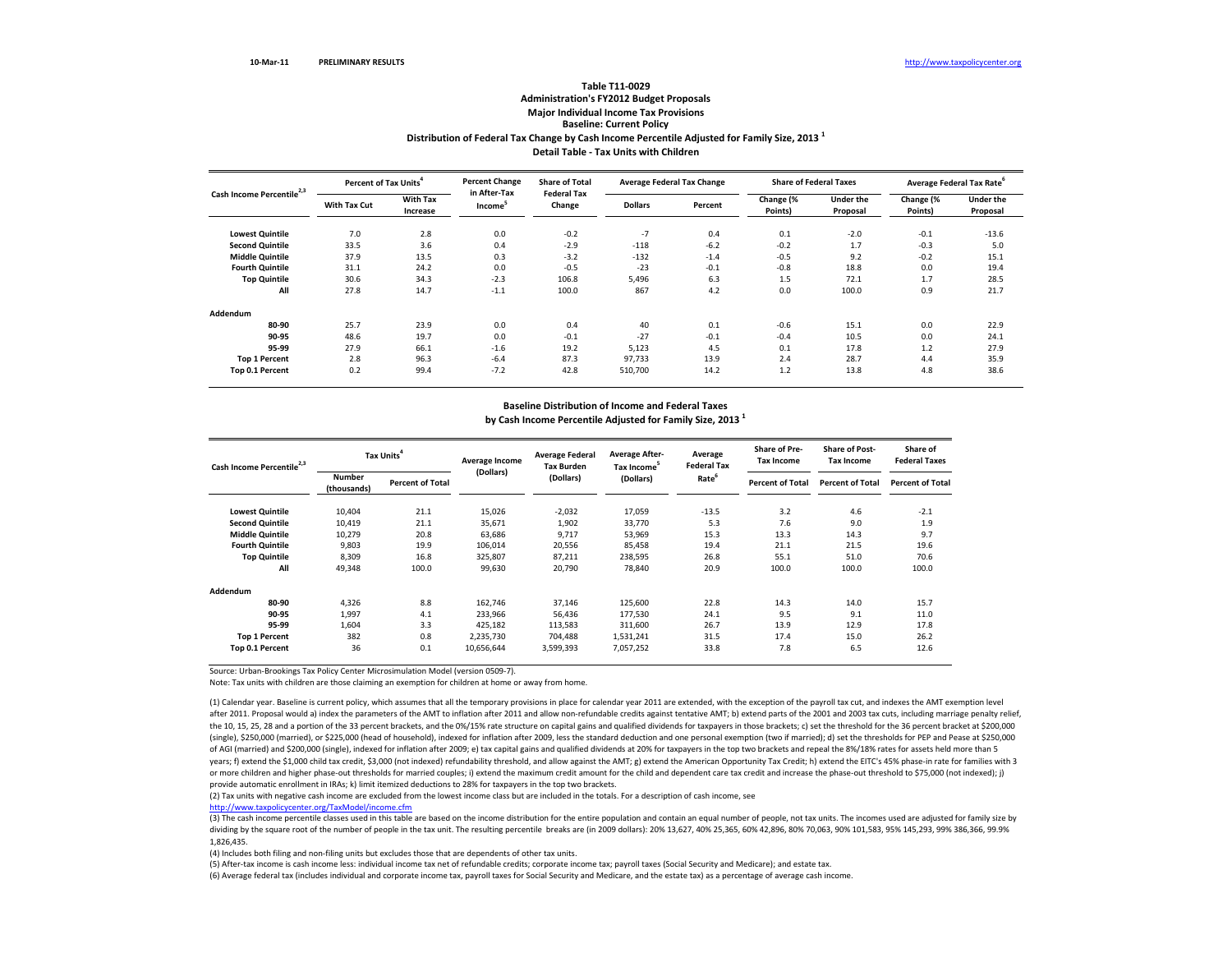### **Distribution of Federal Tax Change by Cash Income Percentile Adjusted for Family Size, <sup>2013</sup> <sup>1</sup> Detail Table ‐ Tax Units with Children Table T11‐0029Administration's FY2012 Budget Proposals Major Individual Income Tax Provisions Baseline: Current Policy**

| Cash Income Percentile <sup>2,3</sup> | Percent of Tax Units <sup>4</sup> |                             | <b>Percent Change</b>               | <b>Share of Total</b>        |                | <b>Average Federal Tax Change</b> | <b>Share of Federal Taxes</b> |                              | Average Federal Tax Rate |                              |  |
|---------------------------------------|-----------------------------------|-----------------------------|-------------------------------------|------------------------------|----------------|-----------------------------------|-------------------------------|------------------------------|--------------------------|------------------------------|--|
|                                       | With Tax Cut                      | <b>With Tax</b><br>Increase | in After-Tax<br>Income <sup>5</sup> | <b>Federal Tax</b><br>Change | <b>Dollars</b> | Percent                           | Change (%<br>Points)          | <b>Under the</b><br>Proposal | Change (%<br>Points)     | <b>Under the</b><br>Proposal |  |
| <b>Lowest Quintile</b>                | 7.0                               | 2.8                         | 0.0                                 | $-0.2$                       | $-7$           | 0.4                               | 0.1                           | $-2.0$                       | $-0.1$                   | $-13.6$                      |  |
| <b>Second Quintile</b>                | 33.5                              | 3.6                         | 0.4                                 | $-2.9$                       | $-118$         | $-6.2$                            | $-0.2$                        | 1.7                          | $-0.3$                   | 5.0                          |  |
| <b>Middle Quintile</b>                | 37.9                              | 13.5                        | 0.3                                 | $-3.2$                       | $-132$         | $-1.4$                            | $-0.5$                        | 9.2                          | $-0.2$                   | 15.1                         |  |
| <b>Fourth Quintile</b>                | 31.1                              | 24.2                        | 0.0                                 | $-0.5$                       | $-23$          | $-0.1$                            | $-0.8$                        | 18.8                         | 0.0                      | 19.4                         |  |
| <b>Top Quintile</b>                   | 30.6                              | 34.3                        | $-2.3$                              | 106.8                        | 5,496          | 6.3                               | 1.5                           | 72.1                         | 1.7                      | 28.5                         |  |
| All                                   | 27.8                              | 14.7                        | $-1.1$                              | 100.0                        | 867            | 4.2                               | 0.0                           | 100.0                        | 0.9                      | 21.7                         |  |
| Addendum                              |                                   |                             |                                     |                              |                |                                   |                               |                              |                          |                              |  |
| 80-90                                 | 25.7                              | 23.9                        | 0.0                                 | 0.4                          | 40             | 0.1                               | $-0.6$                        | 15.1                         | 0.0                      | 22.9                         |  |
| 90-95                                 | 48.6                              | 19.7                        | 0.0                                 | $-0.1$                       | $-27$          | $-0.1$                            | $-0.4$                        | 10.5                         | 0.0                      | 24.1                         |  |
| 95-99                                 | 27.9                              | 66.1                        | $-1.6$                              | 19.2                         | 5,123          | 4.5                               | 0.1                           | 17.8                         | 1.2                      | 27.9                         |  |
| <b>Top 1 Percent</b>                  | 2.8                               | 96.3                        | $-6.4$                              | 87.3                         | 97,733         | 13.9                              | 2.4                           | 28.7                         | 4.4                      | 35.9                         |  |
| Top 0.1 Percent                       | 0.2                               | 99.4                        | $-7.2$                              | 42.8                         | 510,700        | 14.2                              | 1.2                           | 13.8                         | 4.8                      | 38.6                         |  |

### **Baseline Distribution of Income and Federal Taxes by Cash Income Percentile Adjusted for Family Size, <sup>2013</sup> <sup>1</sup>**

| Cash Income Percentile <sup>2,3</sup> | Tax Units <sup>4</sup>       |                         | Average Income | <b>Average Federal</b><br><b>Tax Burden</b> | <b>Average After-</b><br>Tax Income <sup>5</sup> | Average<br><b>Federal Tax</b> | <b>Share of Pre-</b><br><b>Tax Income</b> | <b>Share of Post-</b><br><b>Tax Income</b> | Share of<br><b>Federal Taxes</b> |
|---------------------------------------|------------------------------|-------------------------|----------------|---------------------------------------------|--------------------------------------------------|-------------------------------|-------------------------------------------|--------------------------------------------|----------------------------------|
|                                       | <b>Number</b><br>(thousands) | <b>Percent of Total</b> | (Dollars)      | (Dollars)                                   | (Dollars)                                        | Rate <sup>6</sup>             | <b>Percent of Total</b>                   | <b>Percent of Total</b>                    | <b>Percent of Total</b>          |
| <b>Lowest Quintile</b>                | 10,404                       | 21.1                    | 15,026         | $-2,032$                                    | 17,059                                           | $-13.5$                       | 3.2                                       | 4.6                                        | $-2.1$                           |
| <b>Second Quintile</b>                | 10,419                       | 21.1                    | 35,671         | 1,902                                       | 33,770                                           | 5.3                           | 7.6                                       | 9.0                                        | 1.9                              |
| <b>Middle Quintile</b>                | 10,279                       | 20.8                    | 63,686         | 9,717                                       | 53,969                                           | 15.3                          | 13.3                                      | 14.3                                       | 9.7                              |
| <b>Fourth Quintile</b>                | 9,803                        | 19.9                    | 106,014        | 20,556                                      | 85,458                                           | 19.4                          | 21.1                                      | 21.5                                       | 19.6                             |
| <b>Top Quintile</b>                   | 8,309                        | 16.8                    | 325,807        | 87,211                                      | 238,595                                          | 26.8                          | 55.1                                      | 51.0                                       | 70.6                             |
| All                                   | 49,348                       | 100.0                   | 99,630         | 20.790                                      | 78,840                                           | 20.9                          | 100.0                                     | 100.0                                      | 100.0                            |
| Addendum                              |                              |                         |                |                                             |                                                  |                               |                                           |                                            |                                  |
| 80-90                                 | 4.326                        | 8.8                     | 162,746        | 37,146                                      | 125,600                                          | 22.8                          | 14.3                                      | 14.0                                       | 15.7                             |
| 90-95                                 | 1,997                        | 4.1                     | 233,966        | 56,436                                      | 177,530                                          | 24.1                          | 9.5                                       | 9.1                                        | 11.0                             |
| 95-99                                 | 1,604                        | 3.3                     | 425,182        | 113,583                                     | 311,600                                          | 26.7                          | 13.9                                      | 12.9                                       | 17.8                             |
| <b>Top 1 Percent</b>                  | 382                          | 0.8                     | 2,235,730      | 704,488                                     | 1,531,241                                        | 31.5                          | 17.4                                      | 15.0                                       | 26.2                             |
| Top 0.1 Percent                       | 36                           | 0.1                     | 10,656,644     | 3,599,393                                   | 7,057,252                                        | 33.8                          | 7.8                                       | 6.5                                        | 12.6                             |

Source: Urban‐Brookings Tax Policy Center Microsimulation Model (version 0509‐7).

Note: Tax units with children are those claiming an exemption for children at home or away from home.

(1) Calendar year. Baseline is current policy, which assumes that all the temporary provisions in place for calendar year 2011 are extended, with the exception of the payroll tax cut, and indexes the AMT exemption level after 2011. Proposal would a) index the parameters of the AMT to inflation after 2011 and allow non‐refundable credits against tentative AMT; b) extend parts of the 2001 and 2003 tax cuts, including marriage penalty relief, the 10, 15, 25, 28 and a portion of the 33 percent brackets, and the 0%/15% rate structure on capital gains and qualified dividends for taxpayers in those brackets; c) set the threshold for the 36 percent bracket at \$200,0 (single), \$250,000 (married), or \$225,000 (head of household), indexed for inflation after 2009, less the standard deduction and one personal exemption (two if married); d) set the thresholds for PEP and Pease at \$250,000 of AGI (married) and \$200,000 (single), indexed for inflation after 2009; e) tax capital gains and qualified dividends at 20% for taxpayers in the top two brackets and repeal the 8%/18% rates for assets held more than <sup>5</sup> years; f) extend the \$1,000 child tax credit, \$3,000 (not indexed) refundability threshold, and allow against the AMT; g) extend the American Opportunity Tax Credit; h) extend the EITC's 45% phase-in rate for families with or more children and higher phase‐out thresholds for married couples; i) extend the maximum credit amount for the child and dependent care tax credit and increase the phase‐out threshold to \$75,000 (not indexed); j) provide automatic enrollment in IRAs; k) limit itemized deductions to 28% for taxpayers in the top two brackets.

(2) Tax units with negative cash income are excluded from the lowest income class but are included in the totals. For <sup>a</sup> description of cash income, see

http://www.taxpolicycenter.org/TaxModel/income.cfm

(3) The cash income percentile classes used in this table are based on the income distribution for the entire population and contain an equal number of people, not tax units. The incomes used are adjusted for family size by dividing by the square root of the number of people in the tax unit. The resulting percentile breaks are (in 2009 dollars): 20% 13,627, 40% 25,365, 60% 42,896, 80% 70,063, 90% 101,583, 95% 145,293, 99% 386,366, 99.9% 1,826,435.

(4) Includes both filing and non‐filing units but excludes those that are dependents of other tax units.

(5) After‐tax income is cash income less: individual income tax net of refundable credits; corporate income tax; payroll taxes (Social Security and Medicare); and estate tax.